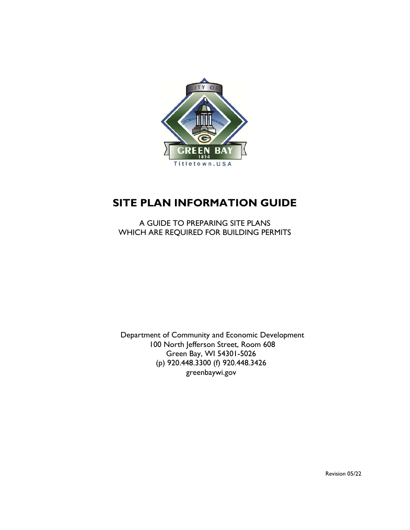

# **SITE PLAN INFORMATION GUIDE**

A GUIDE TO PREPARING SITE PLANS WHICH ARE REQUIRED FOR BUILDING PERMITS

Department of Community and Economic Development 100 North Jefferson Street, Room 608 Green Bay, WI 54301-5026 (p) 920.448.3300 (f) 920.448.3426 greenbaywi.gov

Revision 05/22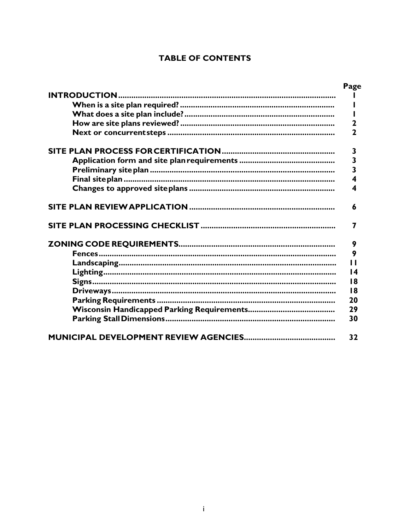# **TABLE OF CONTENTS**

|                      | Page                    |
|----------------------|-------------------------|
| <b>INTRODUCTION.</b> |                         |
|                      |                         |
|                      |                         |
|                      | 2                       |
|                      | $\overline{\mathbf{2}}$ |
|                      | 3                       |
|                      | $\overline{\mathbf{3}}$ |
|                      | 3                       |
|                      | 4                       |
|                      | 4                       |
|                      | 6                       |
|                      | 7                       |
|                      | 9                       |
|                      | 9                       |
|                      | П                       |
|                      | $\overline{14}$         |
|                      | 18                      |
|                      | 18                      |
|                      | 20                      |
|                      | 29                      |
|                      | 30                      |
|                      | 32                      |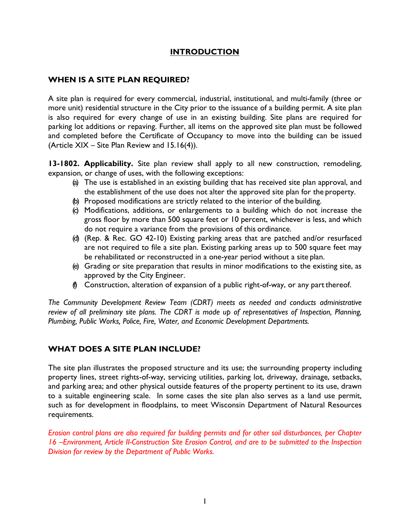## **INTRODUCTION**

# <span id="page-2-0"></span>**WHEN IS A SITE PLAN REQUIRED?**

A site plan is required for every commercial, industrial, institutional, and multi-family (three or more unit) residential structure in the City prior to the issuance of a building permit. A site plan is also required for every change of use in an existing building. Site plans are required for parking lot additions or repaving. Further, all items on the approved site plan must be followed and completed before the Certificate of Occupancy to move into the building can be issued (Article XIX – Site Plan Review and 15.16(4)).

**13-1802. Applicability.** Site plan review shall apply to all new construction, remodeling, expansion, or change of uses, with the following exceptions:

- (a) The use is established in an existing building that has received site plan approval, and the establishment of the use does not alter the approved site plan for the property.
- (b) Proposed modifications are strictly related to the interior of the building.
- (c) Modifications, additions, or enlargements to a building which do not increase the gross floor by more than 500 square feet or 10 percent, whichever is less, and which do not require a variance from the provisions of this ordinance.
- (d) (Rep. & Rec. GO 42-10) Existing parking areas that are patched and/or resurfaced are not required to file a site plan. Existing parking areas up to 500 square feet may be rehabilitated or reconstructed in a one-year period without a site plan.
- (e) Grading or site preparation that results in minor modifications to the existing site, as approved by the City Engineer.
- (f) Construction, alteration of expansion of a public right-of-way, or any partthereof.

*The Community Development Review Team (CDRT) meets as needed and conducts administrative review of all preliminary site plans. The CDRT is made up of representatives of Inspection, Planning, Plumbing, Public Works, Police, Fire, Water, and Economic Development Departments.*

## <span id="page-2-1"></span>**WHAT DOES A SITE PLAN INCLUDE?**

The site plan illustrates the proposed structure and its use; the surrounding property including property lines, street rights-of-way, servicing utilities, parking lot, driveway, drainage, setbacks, and parking area; and other physical outside features of the property pertinent to its use, drawn to a suitable engineering scale. In some cases the site plan also serves as a land use permit, such as for development in floodplains, to meet Wisconsin Department of Natural Resources requirements.

*Erosion control plans are also required for building permits and for other soil disturbances, per Chapter 16 –Environment, Article II-Construction Site Erosion Control, and are to be submitted to the Inspection Division for review by the Department of Public Works.*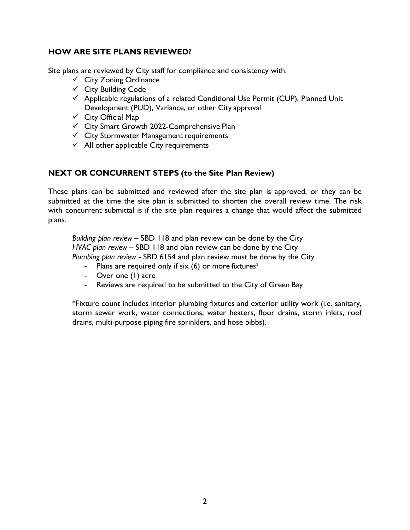# <span id="page-3-0"></span>**HOW ARE SITE PLANS REVIEWED?**

Site plans are reviewed by City staff for compliance and consistency with:

- $\checkmark$  City Zoning Ordinance
- $\checkmark$  City Building Code
- $\checkmark$  Applicable regulations of a related Conditional Use Permit (CUP), Planned Unit Development (PUD), Variance, or other City approval
- $\checkmark$  City Official Map
- City Smart Growth 2022-Comprehensive Plan
- $\checkmark$  City Stormwater Management requirements
- $\checkmark$  All other applicable City requirements

# **NEXT OR CONCURRENT STEPS (to the Site Plan Review)**

These plans can be submitted and reviewed after the site plan is approved, or they can be submitted at the time the site plan is submitted to shorten the overall review time. The risk with concurrent submittal is if the site plan requires a change that would affect the submitted plans.

*Building plan review* – SBD 118 and plan review can be done by the City *HVAC plan review* – SBD 118 and plan review can be done by the City *Plumbing plan review* - SBD 6154 and plan review must be done by the City

- Plans are required only if six (6) or more fixtures\*
- Over one (1) acre
- Reviews are required to be submitted to the City of Green Bay

\*Fixture count includes interior plumbing fixtures and exterior utility work (i.e. sanitary, storm sewer work, water connections, water heaters, floor drains, storm inlets, roof drains, multi-purpose piping fire sprinklers, and hose bibbs).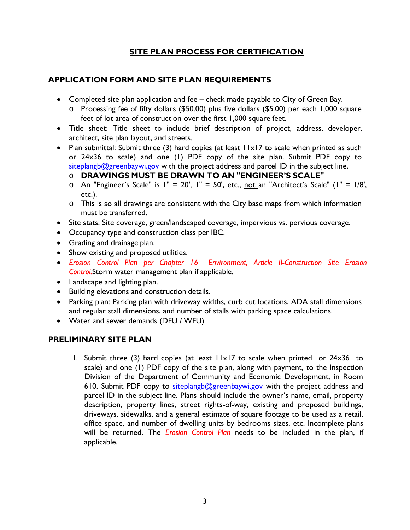# **SITE PLAN PROCESS FOR CERTIFICATION**

# <span id="page-4-1"></span><span id="page-4-0"></span>**APPLICATION FORM AND SITE PLAN REQUIREMENTS**

- Completed site plan application and fee check made payable to City of Green Bay.
	- o Processing fee of fifty dollars (\$50.00) plus five dollars (\$5.00) per each 1,000 square feet of lot area of construction over the first 1,000 square feet.
- Title sheet: Title sheet to include brief description of project, address, developer, architect, site plan layout, and streets.
- Plan submittal: Submit three (3) hard copies (at least 11x17 to scale when printed as such or 24x36 to scale) and one (1) PDF copy of the site plan. Submit PDF copy to  $siteplangb@greenbaywi.gov$  with the project address and parcel ID in the subject line.
	- o **DRAWINGS MUST BE DRAWN TO AN "ENGINEER'S SCALE"**
	- $\circ$  An "Engineer's Scale" is I" = 20', I" = 50', etc., not an "Architect's Scale" (I" = 1/8', etc.).
	- o This is so all drawings are consistent with the City base maps from which information must be transferred.
- Site stats: Site coverage, green/landscaped coverage, impervious vs. pervious coverage.
- Occupancy type and construction class per IBC.
- Grading and drainage plan.
- Show existing and proposed utilities.
- *Erosion Control Plan per Chapter 16 –Environment, Article II-Construction Site Erosion Control.*Storm water management plan if applicable.
- Landscape and lighting plan.
- Building elevations and construction details.
- Parking plan: Parking plan with driveway widths, curb cut locations, ADA stall dimensions and regular stall dimensions, and number of stalls with parking space calculations.
- Water and sewer demands (DFU / WFU)

# <span id="page-4-2"></span>**PRELIMINARY SITE PLAN**

1. Submit three (3) hard copies (at least 11x17 to scale when printed or 24x36 to scale) and one (1) PDF copy of the site plan, along with payment, to the Inspection Division of the Department of Community and Economic Development, in Room 610. Submit PDF copy to [siteplangb@greenbaywi.gov](mailto:siteplangb@greenbaywi.gov) with the project address and parcel ID in the subject line. Plans should include the owner's name, email, property description, property lines, street rights-of-way, existing and proposed buildings, driveways, sidewalks, and a general estimate of square footage to be used as a retail, office space, and number of dwelling units by bedrooms sizes, etc. Incomplete plans will be returned. The *Erosion Control Plan* needs to be included in the plan, if applicable.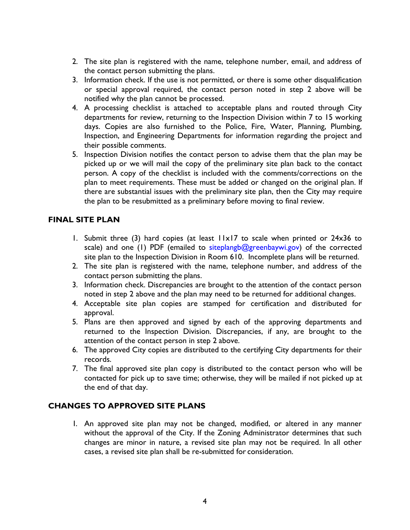- 2. The site plan is registered with the name, telephone number, email, and address of the contact person submitting the plans.
- 3. Information check. If the use is not permitted, or there is some other disqualification or special approval required, the contact person noted in step 2 above will be notified why the plan cannot be processed.
- 4. A processing checklist is attached to acceptable plans and routed through City departments for review, returning to the Inspection Division within 7 to 15 working days. Copies are also furnished to the Police, Fire, Water, Planning, Plumbing, Inspection, and Engineering Departments for information regarding the project and their possible comments.
- 5. Inspection Division notifies the contact person to advise them that the plan may be picked up or we will mail the copy of the preliminary site plan back to the contact person. A copy of the checklist is included with the comments/corrections on the plan to meet requirements. These must be added or changed on the original plan. If there are substantial issues with the preliminary site plan, then the City may require the plan to be resubmitted as a preliminary before moving to final review.

# <span id="page-5-0"></span>**FINAL SITE PLAN**

- 1. Submit three (3) hard copies (at least 11x17 to scale when printed or 24x36 to scale) and one (1) PDF (emailed to siteplangb@greenbaywi.gov) of the corrected site plan to the Inspection Division in Room 610. Incomplete plans will be returned.
- 2. The site plan is registered with the name, telephone number, and address of the contact person submitting the plans.
- 3. Information check. Discrepancies are brought to the attention of the contact person noted in step 2 above and the plan may need to be returned for additional changes.
- 4. Acceptable site plan copies are stamped for certification and distributed for approval.
- 5. Plans are then approved and signed by each of the approving departments and returned to the Inspection Division. Discrepancies, if any, are brought to the attention of the contact person in step 2 above.
- 6. The approved City copies are distributed to the certifying City departments for their records.
- 7. The final approved site plan copy is distributed to the contact person who will be contacted for pick up to save time; otherwise, they will be mailed if not picked up at the end of that day.

## <span id="page-5-1"></span>**CHANGES TO APPROVED SITE PLANS**

1. An approved site plan may not be changed, modified, or altered in any manner without the approval of the City. If the Zoning Administrator determines that such changes are minor in nature, a revised site plan may not be required. In all other cases, a revised site plan shall be re-submitted for consideration.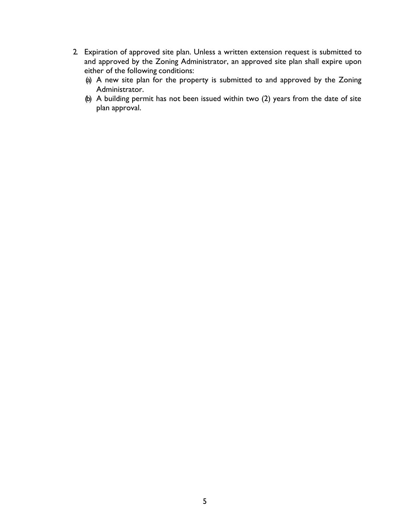- 2. Expiration of approved site plan. Unless a written extension request is submitted to and approved by the Zoning Administrator, an approved site plan shall expire upon either of the following conditions:
	- (a) A new site plan for the property is submitted to and approved by the Zoning Administrator.
	- (b) A building permit has not been issued within two (2) years from the date of site plan approval.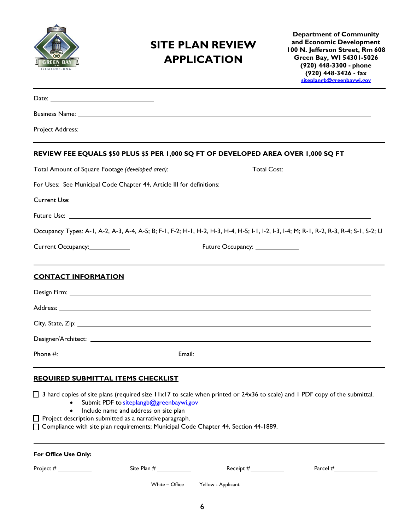

# <span id="page-7-0"></span>**SITE PLAN REVIEW APPLICATION**

**Department of Community and Economic Development 100 N. Jefferson Street, Rm 608 Green Bay, WI 54301-5026 (920) 448-3300 - phone (920) 448-3426 - fax [siteplangb@greenbaywi.gov](mailto:siteplangb@greenbaywi.gov)**

|                            | Business Name: <u>Quality Commission Commission Commission Commission Commission Commission Commission Commission</u>                                                                                                                                                                                                                                                                                                              |                                   |  |
|----------------------------|------------------------------------------------------------------------------------------------------------------------------------------------------------------------------------------------------------------------------------------------------------------------------------------------------------------------------------------------------------------------------------------------------------------------------------|-----------------------------------|--|
|                            |                                                                                                                                                                                                                                                                                                                                                                                                                                    |                                   |  |
|                            | REVIEW FEE EQUALS \$50 PLUS \$5 PER 1,000 SQ FT OF DEVELOPED AREA OVER 1,000 SQ FT                                                                                                                                                                                                                                                                                                                                                 |                                   |  |
|                            |                                                                                                                                                                                                                                                                                                                                                                                                                                    |                                   |  |
|                            | For Uses: See Municipal Code Chapter 44, Article III for definitions:                                                                                                                                                                                                                                                                                                                                                              |                                   |  |
|                            |                                                                                                                                                                                                                                                                                                                                                                                                                                    |                                   |  |
|                            |                                                                                                                                                                                                                                                                                                                                                                                                                                    |                                   |  |
|                            | Occupancy Types: A-1, A-2, A-3, A-4, A-5; B; F-1, F-2; H-1, H-2, H-3, H-4, H-5; I-1, I-2, I-3, I-4; M; R-1, R-2, R-3, R-4; S-1, S-2; U                                                                                                                                                                                                                                                                                             |                                   |  |
| Current Occupancy:         |                                                                                                                                                                                                                                                                                                                                                                                                                                    | Future Occupancy: ______________  |  |
|                            | <u> 1989 - Johann Stein, markin fan it ferstjer fan de ferstjer fan it ferstjer fan de ferstjer fan de ferstjer</u>                                                                                                                                                                                                                                                                                                                |                                   |  |
| <b>CONTACT INFORMATION</b> |                                                                                                                                                                                                                                                                                                                                                                                                                                    |                                   |  |
|                            |                                                                                                                                                                                                                                                                                                                                                                                                                                    |                                   |  |
|                            | Address: No. 2008. The Contract of the Contract of the Contract of the Contract of the Contract of the Contract of the Contract of the Contract of the Contract of the Contract of the Contract of the Contract of the Contrac                                                                                                                                                                                                     |                                   |  |
|                            |                                                                                                                                                                                                                                                                                                                                                                                                                                    |                                   |  |
|                            |                                                                                                                                                                                                                                                                                                                                                                                                                                    |                                   |  |
|                            |                                                                                                                                                                                                                                                                                                                                                                                                                                    |                                   |  |
|                            |                                                                                                                                                                                                                                                                                                                                                                                                                                    |                                   |  |
|                            | <b>REOUIRED SUBMITTAL ITEMS CHECKLIST</b><br>$\Box$ 3 hard copies of site plans (required size 11x17 to scale when printed or 24x36 to scale) and 1 PDF copy of the submittal.<br>Submit PDF to siteplangb@greenbaywi.gov<br>Include name and address on site plan<br>$\Box$ Project description submitted as a narrative paragraph.<br>$\Box$ Compliance with site plan requirements; Municipal Code Chapter 44, Section 44-1889. |                                   |  |
| For Office Use Only:       |                                                                                                                                                                                                                                                                                                                                                                                                                                    |                                   |  |
| Project $\#$               | Site Plan #                                                                                                                                                                                                                                                                                                                                                                                                                        | Receipt #____________             |  |
|                            |                                                                                                                                                                                                                                                                                                                                                                                                                                    | White - Office Yellow - Applicant |  |
|                            |                                                                                                                                                                                                                                                                                                                                                                                                                                    |                                   |  |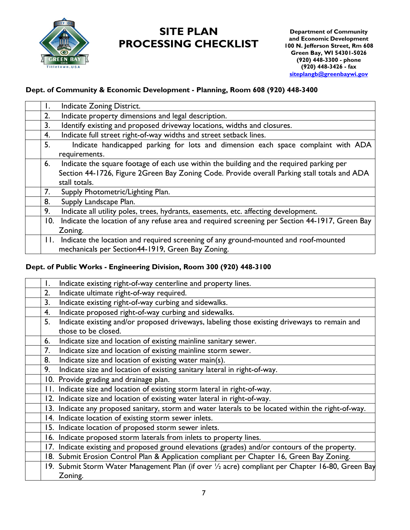

# **SITE PLAN PROCESSING CHECKLIST**

# **Dept. of Community & Economic Development - Planning, Room 608 (920) 448-3400**

| Ι.  | Indicate Zoning District.                                                                      |
|-----|------------------------------------------------------------------------------------------------|
| 2.  | Indicate property dimensions and legal description.                                            |
| 3.  | Identify existing and proposed driveway locations, widths and closures.                        |
| 4.  | Indicate full street right-of-way widths and street setback lines.                             |
| 5.  | Indicate handicapped parking for lots and dimension each space complaint with ADA              |
|     | requirements.                                                                                  |
| 6.  | Indicate the square footage of each use within the building and the required parking per       |
|     | Section 44-1726, Figure 2Green Bay Zoning Code. Provide overall Parking stall totals and ADA   |
|     | stall totals.                                                                                  |
| 7.  | Supply Photometric/Lighting Plan.                                                              |
| 8.  | Supply Landscape Plan.                                                                         |
| 9.  | Indicate all utility poles, trees, hydrants, easements, etc. affecting development.            |
| 10. | Indicate the location of any refuse area and required screening per Section 44-1917, Green Bay |
|     | Zoning.                                                                                        |
|     | 11. Indicate the location and required screening of any ground-mounted and roof-mounted        |
|     | mechanicals per Section44-1919, Green Bay Zoning.                                              |

## **Dept. of Public Works - Engineering Division, Room 300 (920) 448-3100**

| Ι. | Indicate existing right-of-way centerline and property lines.                                       |
|----|-----------------------------------------------------------------------------------------------------|
| 2. | Indicate ultimate right-of-way required.                                                            |
| 3. | Indicate existing right-of-way curbing and sidewalks.                                               |
| 4. | Indicate proposed right-of-way curbing and sidewalks.                                               |
| 5. | Indicate existing and/or proposed driveways, labeling those existing driveways to remain and        |
|    | those to be closed.                                                                                 |
| 6. | Indicate size and location of existing mainline sanitary sewer.                                     |
| 7. | Indicate size and location of existing mainline storm sewer.                                        |
| 8. | Indicate size and location of existing water main(s).                                               |
| 9. | Indicate size and location of existing sanitary lateral in right-of-way.                            |
|    | 10. Provide grading and drainage plan.                                                              |
|    | II. Indicate size and location of existing storm lateral in right-of-way.                           |
|    | 12. Indicate size and location of existing water lateral in right-of-way.                           |
|    | 13. Indicate any proposed sanitary, storm and water laterals to be located within the right-of-way. |
|    | 14. Indicate location of existing storm sewer inlets.                                               |
|    | 15. Indicate location of proposed storm sewer inlets.                                               |
|    | 16. Indicate proposed storm laterals from inlets to property lines.                                 |
|    | 17. Indicate existing and proposed ground elevations (grades) and/or contours of the property.      |
|    | 18. Submit Erosion Control Plan & Application compliant per Chapter 16, Green Bay Zoning.           |
|    | 19. Submit Storm Water Management Plan (if over 1/2 acre) compliant per Chapter 16-80, Green Bay    |
|    | Zoning.                                                                                             |
|    |                                                                                                     |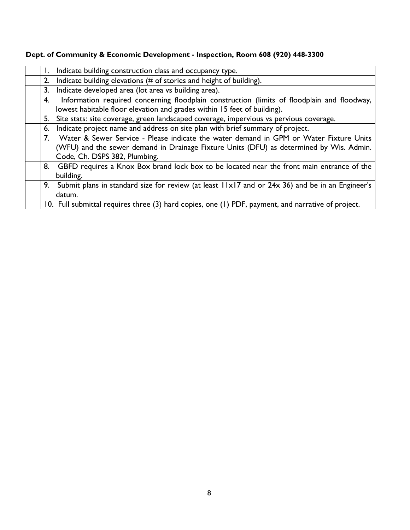|    | Indicate building construction class and occupancy type.                                           |
|----|----------------------------------------------------------------------------------------------------|
| 2. | Indicate building elevations (# of stories and height of building).                                |
| 3. | Indicate developed area (lot area vs building area).                                               |
| 4. | Information required concerning floodplain construction (limits of floodplain and floodway,        |
|    | lowest habitable floor elevation and grades within 15 feet of building).                           |
|    | 5. Site stats: site coverage, green landscaped coverage, impervious vs pervious coverage.          |
| 6. | Indicate project name and address on site plan with brief summary of project.                      |
|    | 7. Water & Sewer Service - Please indicate the water demand in GPM or Water Fixture Units          |
|    | (WFU) and the sewer demand in Drainage Fixture Units (DFU) as determined by Wis. Admin.            |
|    | Code, Ch. DSPS 382, Plumbing.                                                                      |
|    | 8. GBFD requires a Knox Box brand lock box to be located near the front main entrance of the       |
|    | building.                                                                                          |
|    | 9. Submit plans in standard size for review (at least 11x17 and or 24x 36) and be in an Engineer's |
|    | datum.                                                                                             |
|    | 10. Full submittal requires three (3) hard copies, one (1) PDF, payment, and narrative of project. |

# **Dept. of Community & Economic Development - Inspection, Room 608 (920) 448-3300**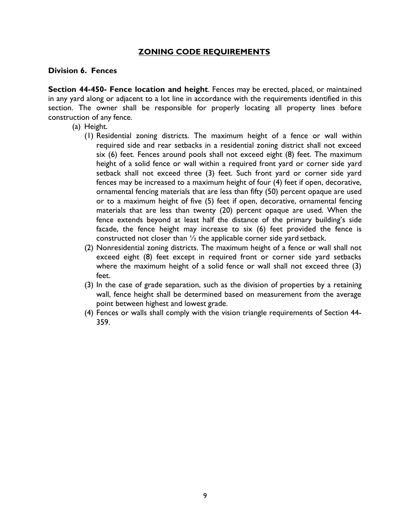## **ZONING CODE REQUIREMENTS**

### <span id="page-10-0"></span>**Division 6. Fences**

**Section 44-450- Fence location and height**. Fences may be erected, placed, or maintained in any yard along or adjacent to a lot line in accordance with the requirements identified in this section. The owner shall be responsible for properly locating all property lines before construction of any fence.

- (a) Height.
	- (1) Residential zoning districts. The maximum height of a fence or wall within required side and rear setbacks in a residential zoning district shall not exceed six (6) feet. Fences around pools shall not exceed eight (8) feet. The maximum height of a solid fence or wall within a required front yard or corner side yard setback shall not exceed three (3) feet. Such front yard or corner side yard fences may be increased to a maximum height of four (4) feet if open, decorative, ornamental fencing materials that are less than fifty (50) percent opaque are used or to a maximum height of five (5) feet if open, decorative, ornamental fencing materials that are less than twenty (20) percent opaque are used. When the fence extends beyond at least half the distance of the primary building's side facade, the fence height may increase to six (6) feet provided the fence is constructed not closer than ½ the applicable corner side yard setback.
	- (2) Nonresidential zoning districts. The maximum height of a fence or wall shall not exceed eight (8) feet except in required front or corner side yard setbacks where the maximum height of a solid fence or wall shall not exceed three (3) feet.
	- (3) In the case of grade separation, such as the division of properties by a retaining wall, fence height shall be determined based on measurement from the average point between highest and lowest grade.
	- (4) Fences or walls shall comply with the vision triangle requirements of Section 44- 359.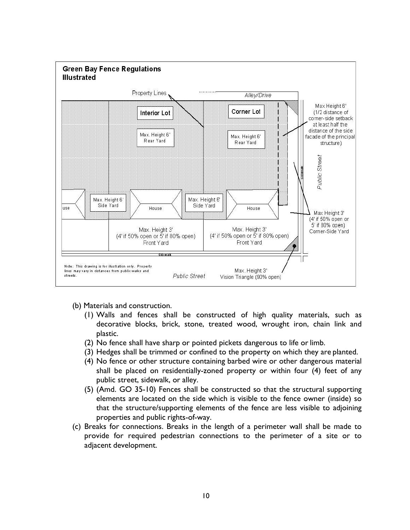

- (b) Materials and construction.
	- (1) Walls and fences shall be constructed of high quality materials, such as decorative blocks, brick, stone, treated wood, wrought iron, chain link and plastic.
	- (2) No fence shall have sharp or pointed pickets dangerous to life or limb.
	- (3) Hedges shall be trimmed or confined to the property on which they are planted.
	- (4) No fence or other structure containing barbed wire or other dangerous material shall be placed on residentially-zoned property or within four (4) feet of any public street, sidewalk, or alley.
	- (5) (Amd. GO 35-10) Fences shall be constructed so that the structural supporting elements are located on the side which is visible to the fence owner (inside) so that the structure/supporting elements of the fence are less visible to adjoining properties and public rights-of-way.
- (c) Breaks for connections. Breaks in the length of a perimeter wall shall be made to provide for required pedestrian connections to the perimeter of a site or to adjacent development.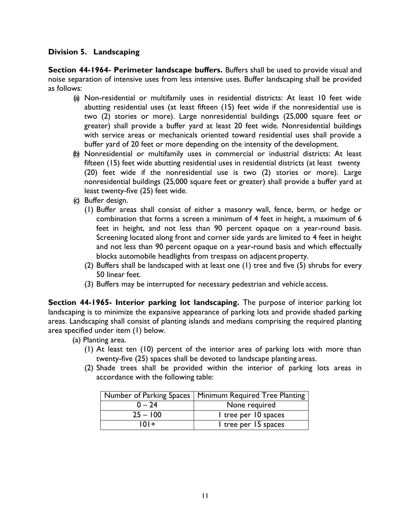## **Division 5. Landscaping**

**Section 44-1964- Perimeter landscape buffers.** Buffers shall be used to provide visual and noise separation of intensive uses from less intensive uses. Buffer landscaping shall be provided as follows:

- (a) Non-residential or multifamily uses in residential districts: At least 10 feet wide abutting residential uses (at least fifteen (15) feet wide if the nonresidential use is two (2) stories or more). Large nonresidential buildings (25,000 square feet or greater) shall provide a buffer yard at least 20 feet wide. Nonresidential buildings with service areas or mechanicals oriented toward residential uses shall provide a buffer yard of 20 feet or more depending on the intensity of the development.
- (b) Nonresidential or multifamily uses in commercial or industrial districts: At least fifteen (15) feet wide abutting residential uses in residential districts (at least twenty (20) feet wide if the nonresidential use is two (2) stories or more). Large nonresidential buildings (25,000 square feet or greater) shall provide a buffer yard at least twenty-five (25) feet wide.
- (c) Buffer design.
	- (1) Buffer areas shall consist of either a masonry wall, fence, berm, or hedge or combination that forms a screen a minimum of 4 feet in height, a maximum of 6 feet in height, and not less than 90 percent opaque on a year-round basis. Screening located along front and corner side yards are limited to 4 feet in height and not less than 90 percent opaque on a year-round basis and which effectually blocks automobile headlights from trespass on adjacent property.
	- (2) Buffers shall be landscaped with at least one (1) tree and five (5) shrubs for every 50 linear feet.
	- (3) Buffers may be interrupted for necessary pedestrian and vehicle access.

**Section 44-1965- Interior parking lot landscaping.** The purpose of interior parking lot landscaping is to minimize the expansive appearance of parking lots and provide shaded parking areas. Landscaping shall consist of planting islands and medians comprising the required planting area specified under item (1) below.

- (a) Planting area.
	- (1) At least ten (10) percent of the interior area of parking lots with more than twenty-five (25) spaces shall be devoted to landscape planting areas.
	- (2) Shade trees shall be provided within the interior of parking lots areas in accordance with the following table:

|            | Number of Parking Spaces   Minimum Required Tree Planting |
|------------|-----------------------------------------------------------|
| $0 - 24$   | None required                                             |
| $25 - 100$ | I tree per 10 spaces                                      |
| $101+$     | I tree per 15 spaces                                      |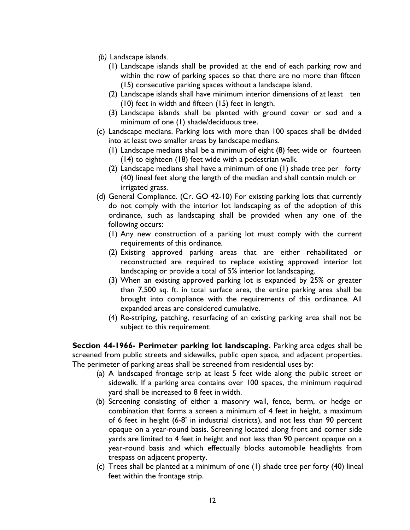- *(b)* Landscape islands*.*
	- (1) Landscape islands shall be provided at the end of each parking row and within the row of parking spaces so that there are no more than fifteen (15) consecutive parking spaces without a landscape island.
	- (2) Landscape islands shall have minimum interior dimensions of at least ten (10) feet in width and fifteen (15) feet in length.
	- (3) Landscape islands shall be planted with ground cover or sod and a minimum of one (1) shade/deciduous tree.
- (c) Landscape medians. Parking lots with more than 100 spaces shall be divided into at least two smaller areas by landscape medians.
	- (1) Landscape medians shall be a minimum of eight (8) feet wide or fourteen (14) to eighteen (18) feet wide with a pedestrian walk.
	- (2) Landscape medians shall have a minimum of one (1) shade tree per forty (40) lineal feet along the length of the median and shall contain mulch or irrigated grass.
- (d) General Compliance. (Cr. GO 42-10) For existing parking lots that currently do not comply with the interior lot landscaping as of the adoption of this ordinance, such as landscaping shall be provided when any one of the following occurs:
	- (1) Any new construction of a parking lot must comply with the current requirements of this ordinance.
	- (2) Existing approved parking areas that are either rehabilitated or reconstructed are required to replace existing approved interior lot landscaping or provide a total of 5% interior lot landscaping.
	- (3) When an existing approved parking lot is expanded by 25% or greater than 7,500 sq. ft. in total surface area, the entire parking area shall be brought into compliance with the requirements of this ordinance. All expanded areas are considered cumulative.
	- (4) Re-striping, patching, resurfacing of an existing parking area shall not be subject to this requirement.

**Section 44-1966- Perimeter parking lot landscaping.** Parking area edges shall be screened from public streets and sidewalks, public open space, and adjacent properties. The perimeter of parking areas shall be screened from residential uses by:

- (a) A landscaped frontage strip at least 5 feet wide along the public street or sidewalk. If a parking area contains over 100 spaces, the minimum required yard shall be increased to 8 feet in width.
- (b) Screening consisting of either a masonry wall, fence, berm, or hedge or combination that forms a screen a minimum of 4 feet in height, a maximum of 6 feet in height (6-8' in industrial districts), and not less than 90 percent opaque on a year-round basis. Screening located along front and corner side yards are limited to 4 feet in height and not less than 90 percent opaque on a year-round basis and which effectually blocks automobile headlights from trespass on adjacent property.
- (c) Trees shall be planted at a minimum of one (1) shade tree per forty (40) lineal feet within the frontage strip.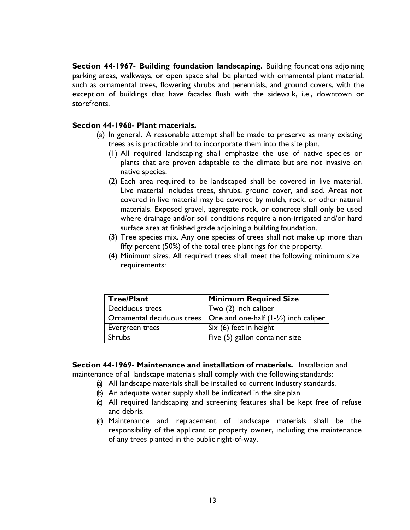**Section 44-1967- Building foundation landscaping.** Building foundations adjoining parking areas, walkways, or open space shall be planted with ornamental plant material, such as ornamental trees, flowering shrubs and perennials, and ground covers, with the exception of buildings that have facades flush with the sidewalk, i.e., downtown or storefronts.

#### **Section 44-1968- Plant materials.**

- (a) In general**.** A reasonable attempt shall be made to preserve as many existing trees as is practicable and to incorporate them into the site plan.
	- (1) All required landscaping shall emphasize the use of native species or plants that are proven adaptable to the climate but are not invasive on native species.
	- (2) Each area required to be landscaped shall be covered in live material. Live material includes trees, shrubs, ground cover, and sod. Areas not covered in live material may be covered by mulch, rock, or other natural materials. Exposed gravel, aggregate rock, or concrete shall only be used where drainage and/or soil conditions require a non-irrigated and/or hard surface area at finished grade adjoining a building foundation.
	- (3) Tree species mix. Any one species of trees shall not make up more than fifty percent (50%) of the total tree plantings for the property.
	- (4) Minimum sizes. All required trees shall meet the following minimum size requirements:

| Tree/Plant      | <b>Minimum Required Size</b>                                                             |  |
|-----------------|------------------------------------------------------------------------------------------|--|
| Deciduous trees | Two (2) inch caliper                                                                     |  |
|                 | Ornamental deciduous trees $\vert$ One and one-half (1- $\vert z \rangle$ ) inch caliper |  |
| Evergreen trees | Six (6) feet in height                                                                   |  |
| Shrubs          | Five (5) gallon container size                                                           |  |

**Section 44-1969- Maintenance and installation of materials.** Installation and maintenance of all landscape materials shall comply with the following standards:

- (a) All landscape materials shall be installed to current industry standards.
- (b) An adequate water supply shall be indicated in the site plan.
- (c) All required landscaping and screening features shall be kept free of refuse and debris.
- (d) Maintenance and replacement of landscape materials shall be the responsibility of the applicant or property owner, including the maintenance of any trees planted in the public right-of-way.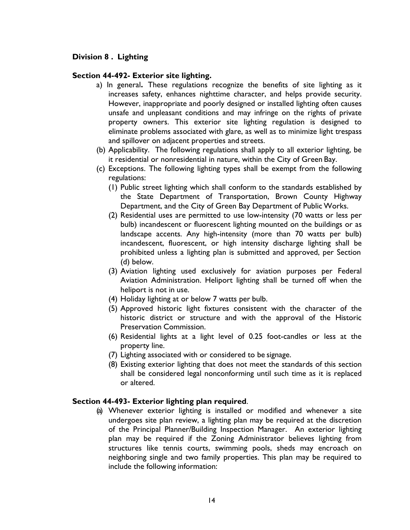# **Division 8 . Lighting**

#### **Section 44-492- Exterior site lighting.**

- a) In general**.** These regulations recognize the benefits of site lighting as it increases safety, enhances nighttime character, and helps provide security. However, inappropriate and poorly designed or installed lighting often causes unsafe and unpleasant conditions and may infringe on the rights of private property owners. This exterior site lighting regulation is designed to eliminate problems associated with glare, as well as to minimize light trespass and spillover on adjacent properties and streets.
- (b) Applicability. The following regulations shall apply to all exterior lighting, be it residential or nonresidential in nature, within the City of Green Bay.
- (c) Exceptions. The following lighting types shall be exempt from the following regulations:
	- (1) Public street lighting which shall conform to the standards established by the State Department of Transportation, Brown County Highway Department, and the City of Green Bay Department of Public Works.
	- (2) Residential uses are permitted to use low-intensity (70 watts or less per bulb) incandescent or fluorescent lighting mounted on the buildings or as landscape accents. Any high-intensity (more than 70 watts per bulb) incandescent, fluorescent, or high intensity discharge lighting shall be prohibited unless a lighting plan is submitted and approved, per Section (d) below.
	- (3) Aviation lighting used exclusively for aviation purposes per Federal Aviation Administration. Heliport lighting shall be turned off when the heliport is not in use.
	- (4) Holiday lighting at or below 7 watts per bulb.
	- (5) Approved historic light fixtures consistent with the character of the historic district or structure and with the approval of the Historic Preservation Commission.
	- (6) Residential lights at a light level of 0.25 foot-candles or less at the property line.
	- (7) Lighting associated with or considered to be signage.
	- (8) Existing exterior lighting that does not meet the standards of this section shall be considered legal nonconforming until such time as it is replaced or altered.

#### **Section 44-493- Exterior lighting plan required**.

(a) Whenever exterior lighting is installed or modified and whenever a site undergoes site plan review, a lighting plan may be required at the discretion of the Principal Planner/Building Inspection Manager. An exterior lighting plan may be required if the Zoning Administrator believes lighting from structures like tennis courts, swimming pools, sheds may encroach on neighboring single and two family properties. This plan may be required to include the following information: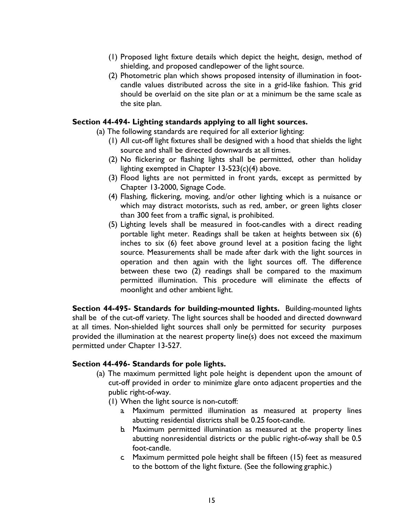- (1) Proposed light fixture details which depict the height, design, method of shielding, and proposed candlepower of the light source.
- (2) Photometric plan which shows proposed intensity of illumination in footcandle values distributed across the site in a grid-like fashion. This grid should be overlaid on the site plan or at a minimum be the same scale as the site plan.

#### **Section 44-494- Lighting standards applying to all light sources.**

- (a) The following standards are required for all exterior lighting:
	- (1) All cut-off light fixtures shall be designed with a hood that shields the light source and shall be directed downwards at all times.
	- (2) No flickering or flashing lights shall be permitted, other than holiday lighting exempted in Chapter 13-523(c)(4) above.
	- (3) Flood lights are not permitted in front yards, except as permitted by Chapter 13-2000, Signage Code.
	- (4) Flashing, flickering, moving, and/or other lighting which is a nuisance or which may distract motorists, such as red, amber, or green lights closer than 300 feet from a traffic signal, is prohibited.
	- (5) Lighting levels shall be measured in foot-candles with a direct reading portable light meter. Readings shall be taken at heights between six (6) inches to six (6) feet above ground level at a position facing the light source. Measurements shall be made after dark with the light sources in operation and then again with the light sources off. The difference between these two (2) readings shall be compared to the maximum permitted illumination. This procedure will eliminate the effects of moonlight and other ambient light.

**Section 44-495- Standards for building-mounted lights.** Building-mounted lights shall be of the cut-off variety. The light sources shall be hooded and directed downward at all times. Non-shielded light sources shall only be permitted for security purposes provided the illumination at the nearest property line(s) does not exceed the maximum permitted under Chapter 13-527.

#### **Section 44-496- Standards for pole lights.**

- (a) The maximum permitted light pole height is dependent upon the amount of cut-off provided in order to minimize glare onto adjacent properties and the public right-of-way.
	- (1) When the light source is non-cutoff:
		- a. Maximum permitted illumination as measured at property lines abutting residential districts shall be 0.25 foot-candle.
		- b. Maximum permitted illumination as measured at the property lines abutting nonresidential districts or the public right-of-way shall be 0.5 foot-candle.
		- c. Maximum permitted pole height shall be fifteen (15) feet as measured to the bottom of the light fixture. (See the following graphic.)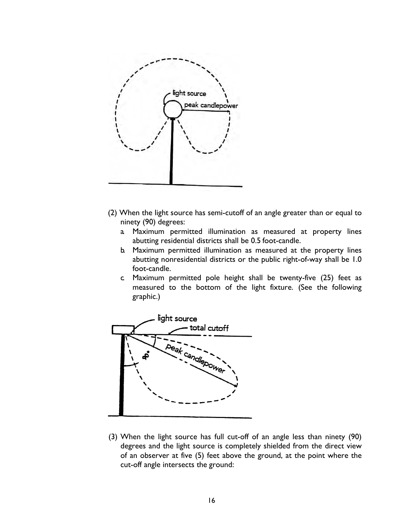

- (2) When the light source has semi-cutoff of an angle greater than or equal to ninety (90) degrees:
	- a. Maximum permitted illumination as measured at property lines abutting residential districts shall be 0.5 foot-candle.
	- b. Maximum permitted illumination as measured at the property lines abutting nonresidential districts or the public right-of-way shall be 1.0 foot-candle.
	- c. Maximum permitted pole height shall be twenty-five (25) feet as measured to the bottom of the light fixture. (See the following graphic.)



(3) When the light source has full cut-off of an angle less than ninety (90) degrees and the light source is completely shielded from the direct view of an observer at five (5) feet above the ground, at the point where the cut-off angle intersects the ground: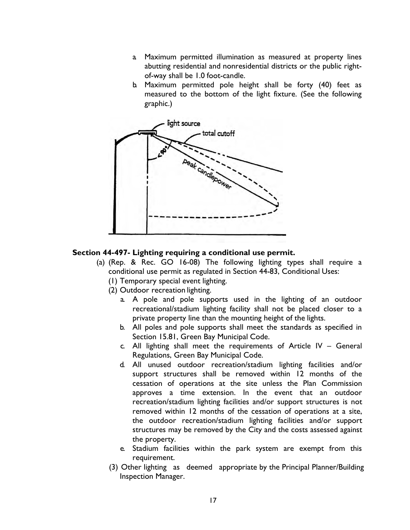- a. Maximum permitted illumination as measured at property lines abutting residential and nonresidential districts or the public rightof-way shall be 1.0 foot-candle.
- b. Maximum permitted pole height shall be forty (40) feet as measured to the bottom of the light fixture. (See the following graphic.)



## **Section 44-497- Lighting requiring a conditional use permit.**

- (a) (Rep. & Rec. GO 16-08) The following lighting types shall require a conditional use permit as regulated in Section 44-83, Conditional Uses:
	- (1) Temporary special event lighting.
	- (2) Outdoor recreation lighting.
		- a. A pole and pole supports used in the lighting of an outdoor recreational/stadium lighting facility shall not be placed closer to a private property line than the mounting height of the lights.
		- b. All poles and pole supports shall meet the standards as specified in Section 15.81, Green Bay Municipal Code.
		- c. All lighting shall meet the requirements of Article IV General Regulations, Green Bay Municipal Code.
		- d. All unused outdoor recreation/stadium lighting facilities and/or support structures shall be removed within 12 months of the cessation of operations at the site unless the Plan Commission approves a time extension. In the event that an outdoor recreation/stadium lighting facilities and/or support structures is not removed within 12 months of the cessation of operations at a site, the outdoor recreation/stadium lighting facilities and/or support structures may be removed by the City and the costs assessed against the property.
		- e. Stadium facilities within the park system are exempt from this requirement.
	- (3) Other lighting as deemed appropriate by the Principal Planner/Building Inspection Manager.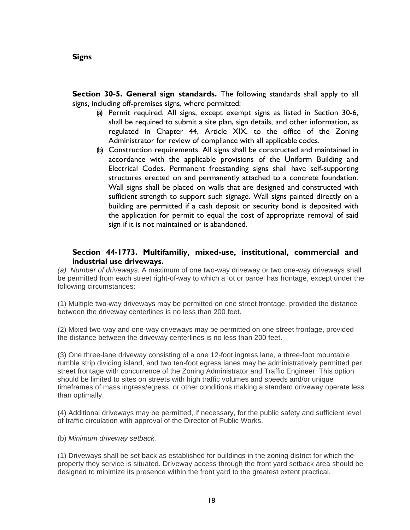#### <span id="page-19-0"></span>**Signs**

**Section 30-5. General sign standards.** The following standards shall apply to all signs, including off-premises signs, where permitted:

- (a) Permit required. All signs, except exempt signs as listed in Section 30-6, shall be required to submit a site plan, sign details, and other information, as regulated in Chapter 44, Article XIX, to the office of the Zoning Administrator for review of compliance with all applicable codes.
- (b) Construction requirements. All signs shall be constructed and maintained in accordance with the applicable provisions of the Uniform Building and Electrical Codes. Permanent freestanding signs shall have self-supporting structures erected on and permanently attached to a concrete foundation. Wall signs shall be placed on walls that are designed and constructed with sufficient strength to support such signage. Wall signs painted directly on a building are permitted if a cash deposit or security bond is deposited with the application for permit to equal the cost of appropriate removal of said sign if it is not maintained or is abandoned.

## **Section 44-1773. Multifamiliy, mixed-use, institutional, commercial and industrial use driveways.**

*(a). Number of driveways.* A maximum of one two-way driveway or two one-way driveways shall be permitted from each street right-of-way to which a lot or parcel has frontage, except under the following circumstances:

(1) Multiple two-way driveways may be permitted on one street frontage, provided the distance between the driveway centerlines is no less than 200 feet.

(2) Mixed two-way and one-way driveways may be permitted on one street frontage, provided the distance between the driveway centerlines is no less than 200 feet.

(3) One three-lane driveway consisting of a one 12-foot ingress lane, a three-foot mountable rumble strip dividing island, and two ten-foot egress lanes may be administratively permitted per street frontage with concurrence of the Zoning Administrator and Traffic Engineer. This option should be limited to sites on streets with high traffic volumes and speeds and/or unique timeframes of mass ingress/egress, or other conditions making a standard driveway operate less than optimally.

(4) Additional driveways may be permitted, if necessary, for the public safety and sufficient level of traffic circulation with approval of the Director of Public Works.

(b) *Minimum driveway setback.*

(1) Driveways shall be set back as established for buildings in the zoning district for which the property they service is situated. Driveway access through the front yard setback area should be designed to minimize its presence within the front yard to the greatest extent practical.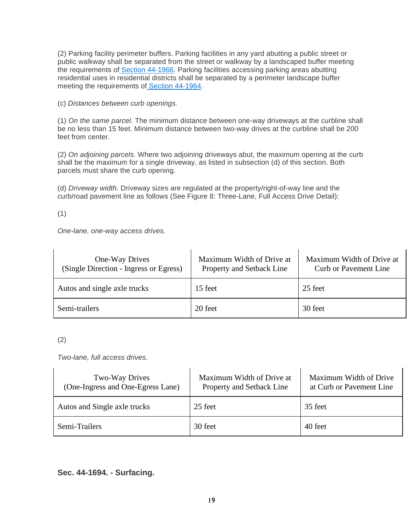(2) Parking facility perimeter buffers. Parking facilities in any yard abutting a public street or public walkway shall be separated from the street or walkway by a landscaped buffer meeting the requirements of [Section 44-1966.](https://library.municode.com/wi/green_bay/codes/code_of_ordinances?nodeId=COOR_CH44ZO_ARTXIXSIPLRE_DIV5LA_S44-1966PEPALOLA) Parking facilities accessing parking areas abutting residential uses in residential districts shall be separated by a perimeter landscape buffer meeting the requirements of [Section 44-1964.](https://library.municode.com/wi/green_bay/codes/code_of_ordinances?nodeId=COOR_CH44ZO_ARTXIXSIPLRE_DIV5LA_S44-1964PELABU)

(c) *Distances between curb openings.*

(1) *On the same parcel.* The minimum distance between one-way driveways at the curbline shall be no less than 15 feet. Minimum distance between two-way drives at the curbline shall be 200 feet from center.

(2) *On adjoining parcels.* Where two adjoining driveways abut, the maximum opening at the curb shall be the maximum for a single driveway, as listed in subsection (d) of this section. Both parcels must share the curb opening.

(d) *Driveway width.* Driveway sizes are regulated at the property/right-of-way line and the curb/road pavement line as follows (See Figure 8: Three-Lane, Full Access Drive Detail):

(1)

*One-lane, one-way access drives.*

| One-Way Drives<br>(Single Direction - Ingress or Egress) | Maximum Width of Drive at<br>Property and Setback Line | Maximum Width of Drive at<br><b>Curb or Pavement Line</b> |
|----------------------------------------------------------|--------------------------------------------------------|-----------------------------------------------------------|
| Autos and single axle trucks                             | 15 feet                                                | 25 feet                                                   |
| Semi-trailers                                            | 20 feet                                                | 30 feet                                                   |

<sup>(2)</sup>

*Two-lane, full access drives.*

| <b>Two-Way Drives</b><br>(One-Ingress and One-Egress Lane) | Maximum Width of Drive at<br>Property and Setback Line | Maximum Width of Drive<br>at Curb or Pavement Line |
|------------------------------------------------------------|--------------------------------------------------------|----------------------------------------------------|
| Autos and Single axle trucks                               | 25 feet                                                | 35 feet                                            |
| Semi-Trailers                                              | 30 feet                                                | 40 feet                                            |

### **Sec. 44-1694. - Surfacing.**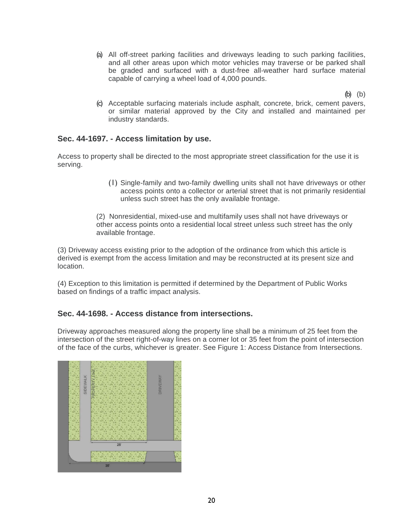(a) All off-street parking facilities and driveways leading to such parking facilities, and all other areas upon which motor vehicles may traverse or be parked shall be graded and surfaced with a dust-free all-weather hard surface material capable of carrying a wheel load of 4,000 pounds.

(b) (b)

(c) Acceptable surfacing materials include asphalt, concrete, brick, cement pavers, or similar material approved by the City and installed and maintained per industry standards.

## **Sec. 44-1697. - Access limitation by use.**

Access to property shall be directed to the most appropriate street classification for the use it is serving.

> (1) Single-family and two-family dwelling units shall not have driveways or other access points onto a collector or arterial street that is not primarily residential unless such street has the only available frontage.

(2) Nonresidential, mixed-use and multifamily uses shall not have driveways or other access points onto a residential local street unless such street has the only available frontage.

(3) Driveway access existing prior to the adoption of the ordinance from which this article is derived is exempt from the access limitation and may be reconstructed at its present size and location.

(4) Exception to this limitation is permitted if determined by the Department of Public Works based on findings of a traffic impact analysis.

#### **Sec. 44-1698. - Access distance from intersections.**

Driveway approaches measured along the property line shall be a minimum of 25 feet from the intersection of the street right-of-way lines on a corner lot or 35 feet from the point of intersection of the face of the curbs, whichever is greater. See Figure 1: Access Distance from Intersections.

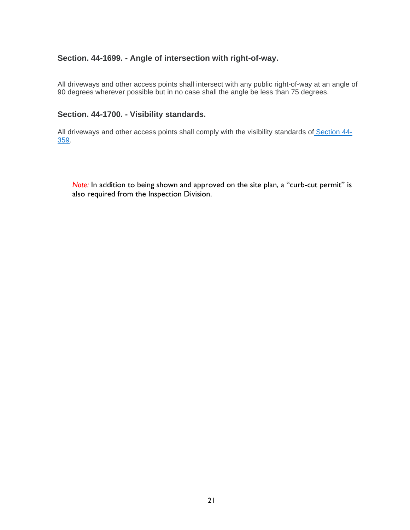## **Section. 44-1699. - Angle of intersection with right-of-way.**

All driveways and other access points shall intersect with any public right-of-way at an angle of 90 degrees wherever possible but in no case shall the angle be less than 75 degrees.

### **Section. 44-1700. - Visibility standards.**

All driveways and other access points shall comply with the visibility standards of [Section 44-](https://library.municode.com/wi/green_bay/codes/code_of_ordinances?nodeId=COOR_CH44ZO_ARTVGERE_DIV3YACO_S44-359VITRCL) [359.](https://library.municode.com/wi/green_bay/codes/code_of_ordinances?nodeId=COOR_CH44ZO_ARTVGERE_DIV3YACO_S44-359VITRCL)

*Note:* In addition to being shown and approved on the site plan, a "curb-cut permit" is also required from the Inspection Division.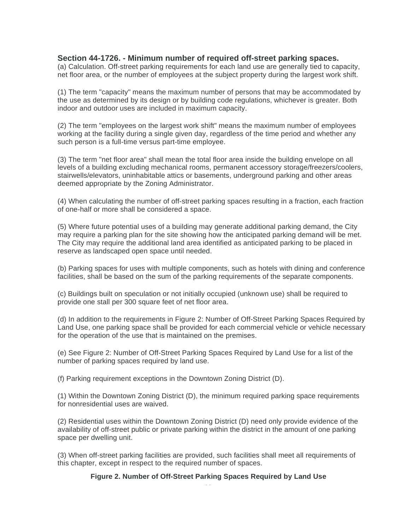### **Section 44-1726. - Minimum number of required off-street parking spaces.**

(a) Calculation. Off-street parking requirements for each land use are generally tied to capacity, net floor area, or the number of employees at the subject property during the largest work shift.

(1) The term "capacity" means the maximum number of persons that may be accommodated by the use as determined by its design or by building code regulations, whichever is greater. Both indoor and outdoor uses are included in maximum capacity.

(2) The term "employees on the largest work shift" means the maximum number of employees working at the facility during a single given day, regardless of the time period and whether any such person is a full-time versus part-time employee.

(3) The term "net floor area" shall mean the total floor area inside the building envelope on all levels of a building excluding mechanical rooms, permanent accessory storage/freezers/coolers, stairwells/elevators, uninhabitable attics or basements, underground parking and other areas deemed appropriate by the Zoning Administrator.

(4) When calculating the number of off-street parking spaces resulting in a fraction, each fraction of one-half or more shall be considered a space.

(5) Where future potential uses of a building may generate additional parking demand, the City may require a parking plan for the site showing how the anticipated parking demand will be met. The City may require the additional land area identified as anticipated parking to be placed in reserve as landscaped open space until needed.

(b) Parking spaces for uses with multiple components, such as hotels with dining and conference facilities, shall be based on the sum of the parking requirements of the separate components.

(c) Buildings built on speculation or not initially occupied (unknown use) shall be required to provide one stall per 300 square feet of net floor area.

(d) In addition to the requirements in Figure 2: Number of Off-Street Parking Spaces Required by Land Use, one parking space shall be provided for each commercial vehicle or vehicle necessary for the operation of the use that is maintained on the premises.

(e) See Figure 2: Number of Off-Street Parking Spaces Required by Land Use for a list of the number of parking spaces required by land use.

(f) Parking requirement exceptions in the Downtown Zoning District (D).

(1) Within the Downtown Zoning District (D), the minimum required parking space requirements for nonresidential uses are waived.

(2) Residential uses within the Downtown Zoning District (D) need only provide evidence of the availability of off-street public or private parking within the district in the amount of one parking space per dwelling unit.

(3) When off-street parking facilities are provided, such facilities shall meet all requirements of this chapter, except in respect to the required number of spaces.

> 23 **Figure 2. Number of Off-Street Parking Spaces Required by Land Use**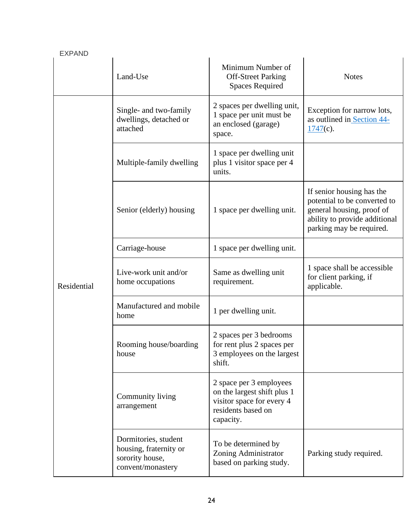| <b>EXPAND</b> |                                                                                        |                                                                                                                        |                                                                                                                                                     |  |
|---------------|----------------------------------------------------------------------------------------|------------------------------------------------------------------------------------------------------------------------|-----------------------------------------------------------------------------------------------------------------------------------------------------|--|
|               | Land-Use                                                                               | Minimum Number of<br><b>Off-Street Parking</b><br><b>Spaces Required</b>                                               | <b>Notes</b>                                                                                                                                        |  |
|               | Single- and two-family<br>dwellings, detached or<br>attached                           | 2 spaces per dwelling unit,<br>1 space per unit must be<br>an enclosed (garage)<br>space.                              | Exception for narrow lots,<br>as outlined in Section 44-<br>$1747(c)$ .                                                                             |  |
|               | Multiple-family dwelling                                                               | 1 space per dwelling unit<br>plus 1 visitor space per 4<br>units.                                                      |                                                                                                                                                     |  |
|               | Senior (elderly) housing                                                               | 1 space per dwelling unit.                                                                                             | If senior housing has the<br>potential to be converted to<br>general housing, proof of<br>ability to provide additional<br>parking may be required. |  |
|               | Carriage-house                                                                         | 1 space per dwelling unit.                                                                                             |                                                                                                                                                     |  |
| Residential   | Live-work unit and/or<br>home occupations                                              | Same as dwelling unit<br>requirement.                                                                                  | 1 space shall be accessible<br>for client parking, if<br>applicable.                                                                                |  |
|               | Manufactured and mobile<br>home                                                        | 1 per dwelling unit.                                                                                                   |                                                                                                                                                     |  |
|               | Rooming house/boarding<br>house                                                        | 2 spaces per 3 bedrooms<br>for rent plus 2 spaces per<br>3 employees on the largest<br>shift.                          |                                                                                                                                                     |  |
|               | Community living<br>arrangement                                                        | 2 space per 3 employees<br>on the largest shift plus 1<br>visitor space for every 4<br>residents based on<br>capacity. |                                                                                                                                                     |  |
|               | Dormitories, student<br>housing, fraternity or<br>sorority house,<br>convent/monastery | To be determined by<br>Zoning Administrator<br>based on parking study.                                                 | Parking study required.                                                                                                                             |  |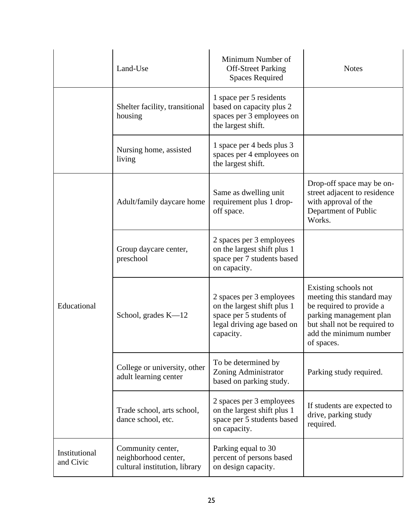|                            | Land-Use                                                                   | Minimum Number of<br><b>Off-Street Parking</b><br><b>Spaces Required</b>                                                      | <b>Notes</b>                                                                                                                                                                     |
|----------------------------|----------------------------------------------------------------------------|-------------------------------------------------------------------------------------------------------------------------------|----------------------------------------------------------------------------------------------------------------------------------------------------------------------------------|
|                            | Shelter facility, transitional<br>housing                                  | 1 space per 5 residents<br>based on capacity plus 2<br>spaces per 3 employees on<br>the largest shift.                        |                                                                                                                                                                                  |
|                            | Nursing home, assisted<br>living                                           | 1 space per 4 beds plus 3<br>spaces per 4 employees on<br>the largest shift.                                                  |                                                                                                                                                                                  |
|                            | Adult/family daycare home                                                  | Same as dwelling unit<br>requirement plus 1 drop-<br>off space.                                                               | Drop-off space may be on-<br>street adjacent to residence<br>with approval of the<br>Department of Public<br>Works.                                                              |
|                            | Group daycare center,<br>preschool                                         | 2 spaces per 3 employees<br>on the largest shift plus 1<br>space per 7 students based<br>on capacity.                         |                                                                                                                                                                                  |
| Educational                | School, grades $K-12$                                                      | 2 spaces per 3 employees<br>on the largest shift plus 1<br>space per 5 students of<br>legal driving age based on<br>capacity. | Existing schools not<br>meeting this standard may<br>be required to provide a<br>parking management plan<br>but shall not be required to<br>add the minimum number<br>of spaces. |
|                            | College or university, other<br>adult learning center                      | To be determined by<br>Zoning Administrator<br>based on parking study.                                                        | Parking study required.                                                                                                                                                          |
|                            | Trade school, arts school,<br>dance school, etc.                           | 2 spaces per 3 employees<br>on the largest shift plus 1<br>space per 5 students based<br>on capacity.                         | If students are expected to<br>drive, parking study<br>required.                                                                                                                 |
| Institutional<br>and Civic | Community center,<br>neighborhood center,<br>cultural institution, library | Parking equal to 30<br>percent of persons based<br>on design capacity.                                                        |                                                                                                                                                                                  |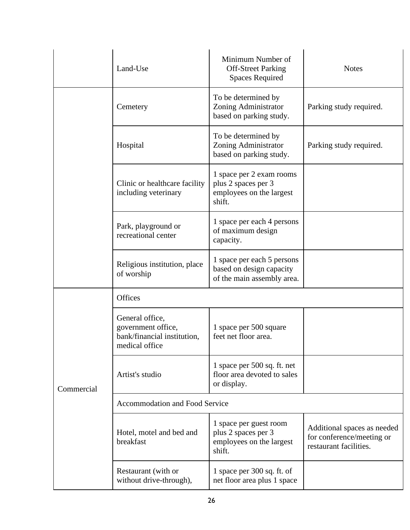|            | Land-Use                                                                               | Minimum Number of<br><b>Off-Street Parking</b><br><b>Spaces Required</b>              | <b>Notes</b>                                                                       |
|------------|----------------------------------------------------------------------------------------|---------------------------------------------------------------------------------------|------------------------------------------------------------------------------------|
|            | Cemetery                                                                               | To be determined by<br>Zoning Administrator<br>based on parking study.                | Parking study required.                                                            |
|            | Hospital                                                                               | To be determined by<br>Zoning Administrator<br>based on parking study.                | Parking study required.                                                            |
|            | Clinic or healthcare facility<br>including veterinary                                  | 1 space per 2 exam rooms<br>plus 2 spaces per 3<br>employees on the largest<br>shift. |                                                                                    |
|            | Park, playground or<br>recreational center                                             | 1 space per each 4 persons<br>of maximum design<br>capacity.                          |                                                                                    |
|            | Religious institution, place<br>of worship                                             | 1 space per each 5 persons<br>based on design capacity<br>of the main assembly area.  |                                                                                    |
|            | Offices                                                                                |                                                                                       |                                                                                    |
|            | General office,<br>government office,<br>bank/financial institution,<br>medical office | 1 space per 500 square<br>feet net floor area.                                        |                                                                                    |
| Commercial | Artist's studio                                                                        | 1 space per 500 sq. ft. net<br>floor area devoted to sales<br>or display.             |                                                                                    |
|            | Accommodation and Food Service                                                         |                                                                                       |                                                                                    |
|            | Hotel, motel and bed and<br>breakfast                                                  | 1 space per guest room<br>plus 2 spaces per 3<br>employees on the largest<br>shift.   | Additional spaces as needed<br>for conference/meeting or<br>restaurant facilities. |
|            | Restaurant (with or<br>without drive-through),                                         | 1 space per 300 sq. ft. of<br>net floor area plus 1 space                             |                                                                                    |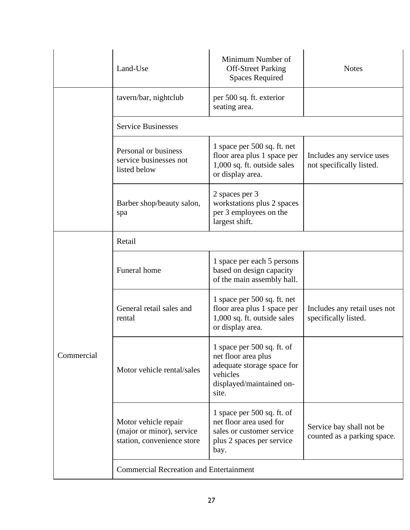|            | Land-Use                                                                        | Minimum Number of<br><b>Off-Street Parking</b><br><b>Spaces Required</b>                                                           | <b>Notes</b>                                            |  |
|------------|---------------------------------------------------------------------------------|------------------------------------------------------------------------------------------------------------------------------------|---------------------------------------------------------|--|
|            | tavern/bar, nightclub                                                           | per 500 sq. ft. exterior<br>seating area.                                                                                          |                                                         |  |
|            | <b>Service Businesses</b>                                                       |                                                                                                                                    |                                                         |  |
|            | Personal or business<br>service businesses not<br>listed below                  | 1 space per 500 sq. ft. net<br>floor area plus 1 space per<br>1,000 sq. ft. outside sales<br>or display area.                      | Includes any service uses<br>not specifically listed.   |  |
|            | Barber shop/beauty salon,<br>spa                                                | 2 spaces per 3<br>workstations plus 2 spaces<br>per 3 employees on the<br>largest shift.                                           |                                                         |  |
|            | Retail                                                                          |                                                                                                                                    |                                                         |  |
| Commercial | Funeral home                                                                    | 1 space per each 5 persons<br>based on design capacity<br>of the main assembly hall.                                               |                                                         |  |
|            | General retail sales and<br>rental                                              | 1 space per 500 sq. ft. net<br>floor area plus 1 space per<br>1,000 sq. ft. outside sales<br>or display area.                      | Includes any retail uses not<br>specifically listed.    |  |
|            | Motor vehicle rental/sales                                                      | 1 space per $500$ sq. ft. of<br>net floor area plus<br>adequate storage space for<br>vehicles<br>displayed/maintained on-<br>site. |                                                         |  |
|            | Motor vehicle repair<br>(major or minor), service<br>station, convenience store | 1 space per 500 sq. ft. of<br>net floor area used for<br>sales or customer service<br>plus 2 spaces per service<br>bay.            | Service bay shall not be<br>counted as a parking space. |  |
|            | <b>Commercial Recreation and Entertainment</b>                                  |                                                                                                                                    |                                                         |  |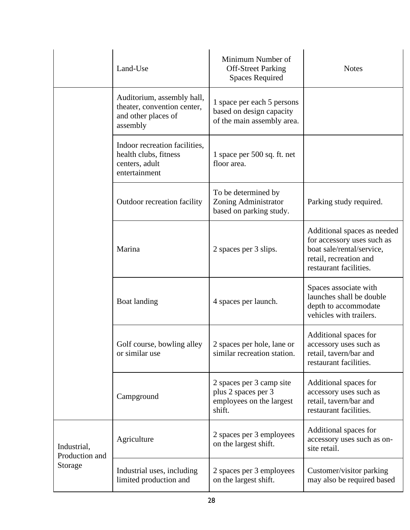|                                          | Land-Use                                                                                     | Minimum Number of<br><b>Off-Street Parking</b><br><b>Spaces Required</b>              | <b>Notes</b>                                                                                                                               |  |
|------------------------------------------|----------------------------------------------------------------------------------------------|---------------------------------------------------------------------------------------|--------------------------------------------------------------------------------------------------------------------------------------------|--|
|                                          | Auditorium, assembly hall,<br>theater, convention center,<br>and other places of<br>assembly | 1 space per each 5 persons<br>based on design capacity<br>of the main assembly area.  |                                                                                                                                            |  |
|                                          | Indoor recreation facilities,<br>health clubs, fitness<br>centers, adult<br>entertainment    | 1 space per 500 sq. ft. net<br>floor area.                                            |                                                                                                                                            |  |
|                                          | Outdoor recreation facility                                                                  | To be determined by<br>Zoning Administrator<br>based on parking study.                | Parking study required.                                                                                                                    |  |
|                                          | Marina                                                                                       | 2 spaces per 3 slips.                                                                 | Additional spaces as needed<br>for accessory uses such as<br>boat sale/rental/service,<br>retail, recreation and<br>restaurant facilities. |  |
|                                          | Boat landing                                                                                 | 4 spaces per launch.                                                                  | Spaces associate with<br>launches shall be double<br>depth to accommodate<br>vehicles with trailers.                                       |  |
|                                          | Golf course, bowling alley<br>or similar use                                                 | 2 spaces per hole, lane or<br>similar recreation station.                             | Additional spaces for<br>accessory uses such as<br>retail, tavern/bar and<br>restaurant facilities.                                        |  |
|                                          | Campground                                                                                   | 2 spaces per 3 camp site<br>plus 2 spaces per 3<br>employees on the largest<br>shift. | Additional spaces for<br>accessory uses such as<br>retail, tavern/bar and<br>restaurant facilities.                                        |  |
| Industrial,<br>Production and<br>Storage | Agriculture                                                                                  | 2 spaces per 3 employees<br>on the largest shift.                                     | Additional spaces for<br>accessory uses such as on-<br>site retail.                                                                        |  |
|                                          | Industrial uses, including<br>limited production and                                         | 2 spaces per 3 employees<br>on the largest shift.                                     | Customer/visitor parking<br>may also be required based                                                                                     |  |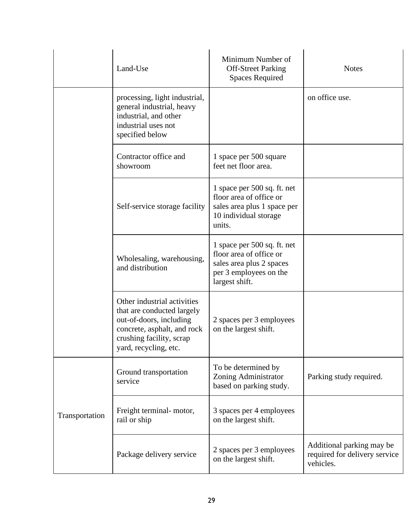|                | Land-Use                                                                                                                                                                 | Minimum Number of<br><b>Off-Street Parking</b><br><b>Spaces Required</b>                                                       | <b>Notes</b>                                                            |
|----------------|--------------------------------------------------------------------------------------------------------------------------------------------------------------------------|--------------------------------------------------------------------------------------------------------------------------------|-------------------------------------------------------------------------|
|                | processing, light industrial,<br>general industrial, heavy<br>industrial, and other<br>industrial uses not<br>specified below                                            |                                                                                                                                | on office use.                                                          |
|                | Contractor office and<br>showroom                                                                                                                                        | 1 space per 500 square<br>feet net floor area.                                                                                 |                                                                         |
|                | Self-service storage facility                                                                                                                                            | 1 space per 500 sq. ft. net<br>floor area of office or<br>sales area plus 1 space per<br>10 individual storage<br>units.       |                                                                         |
|                | Wholesaling, warehousing,<br>and distribution                                                                                                                            | 1 space per 500 sq. ft. net<br>floor area of office or<br>sales area plus 2 spaces<br>per 3 employees on the<br>largest shift. |                                                                         |
|                | Other industrial activities<br>that are conducted largely<br>out-of-doors, including<br>concrete, asphalt, and rock<br>crushing facility, scrap<br>yard, recycling, etc. | 2 spaces per 3 employees<br>on the largest shift.                                                                              |                                                                         |
| Transportation | Ground transportation<br>service                                                                                                                                         | To be determined by<br>Zoning Administrator<br>based on parking study.                                                         | Parking study required.                                                 |
|                | Freight terminal- motor,<br>rail or ship                                                                                                                                 | 3 spaces per 4 employees<br>on the largest shift.                                                                              |                                                                         |
|                | Package delivery service                                                                                                                                                 | 2 spaces per 3 employees<br>on the largest shift.                                                                              | Additional parking may be<br>required for delivery service<br>vehicles. |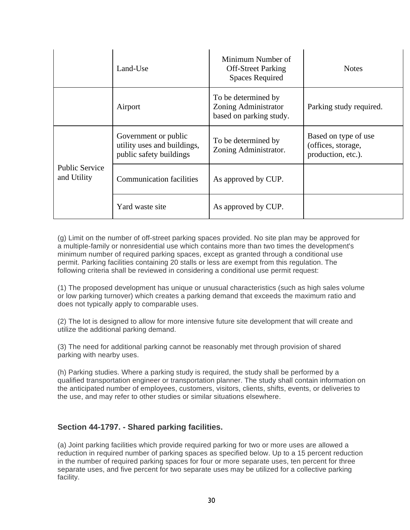|                                      | Land-Use                                                                       | Minimum Number of<br><b>Off-Street Parking</b><br><b>Spaces Required</b> | <b>Notes</b>                                                     |
|--------------------------------------|--------------------------------------------------------------------------------|--------------------------------------------------------------------------|------------------------------------------------------------------|
|                                      | Airport                                                                        | To be determined by<br>Zoning Administrator<br>based on parking study.   | Parking study required.                                          |
| <b>Public Service</b><br>and Utility | Government or public<br>utility uses and buildings,<br>public safety buildings | To be determined by<br>Zoning Administrator.                             | Based on type of use<br>(offices, storage,<br>production, etc.). |
|                                      | <b>Communication facilities</b>                                                | As approved by CUP.                                                      |                                                                  |
|                                      | Yard waste site                                                                | As approved by CUP.                                                      |                                                                  |

(g) Limit on the number of off-street parking spaces provided. No site plan may be approved for a multiple-family or nonresidential use which contains more than two times the development's minimum number of required parking spaces, except as granted through a conditional use permit. Parking facilities containing 20 stalls or less are exempt from this regulation. The following criteria shall be reviewed in considering a conditional use permit request:

(1) The proposed development has unique or unusual characteristics (such as high sales volume or low parking turnover) which creates a parking demand that exceeds the maximum ratio and does not typically apply to comparable uses.

(2) The lot is designed to allow for more intensive future site development that will create and utilize the additional parking demand.

(3) The need for additional parking cannot be reasonably met through provision of shared parking with nearby uses.

(h) Parking studies. Where a parking study is required, the study shall be performed by a qualified transportation engineer or transportation planner. The study shall contain information on the anticipated number of employees, customers, visitors, clients, shifts, events, or deliveries to the use, and may refer to other studies or similar situations elsewhere.

#### **Section 44-1797. - Shared parking facilities.**

(a) Joint parking facilities which provide required parking for two or more uses are allowed a reduction in required number of parking spaces as specified below. Up to a 15 percent reduction in the number of required parking spaces for four or more separate uses, ten percent for three separate uses, and five percent for two separate uses may be utilized for a collective parking facility.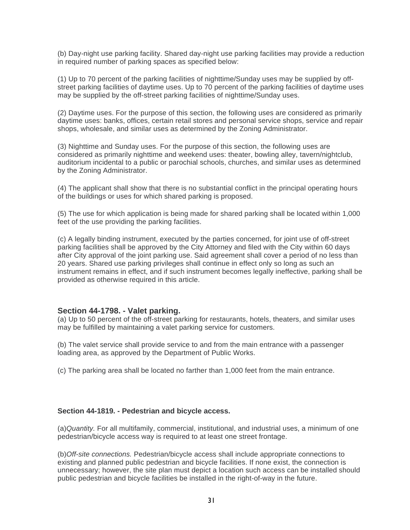(b) Day-night use parking facility. Shared day-night use parking facilities may provide a reduction in required number of parking spaces as specified below:

(1) Up to 70 percent of the parking facilities of nighttime/Sunday uses may be supplied by offstreet parking facilities of daytime uses. Up to 70 percent of the parking facilities of daytime uses may be supplied by the off-street parking facilities of nighttime/Sunday uses.

(2) Daytime uses. For the purpose of this section, the following uses are considered as primarily daytime uses: banks, offices, certain retail stores and personal service shops, service and repair shops, wholesale, and similar uses as determined by the Zoning Administrator.

(3) Nighttime and Sunday uses. For the purpose of this section, the following uses are considered as primarily nighttime and weekend uses: theater, bowling alley, tavern/nightclub, auditorium incidental to a public or parochial schools, churches, and similar uses as determined by the Zoning Administrator.

(4) The applicant shall show that there is no substantial conflict in the principal operating hours of the buildings or uses for which shared parking is proposed.

(5) The use for which application is being made for shared parking shall be located within 1,000 feet of the use providing the parking facilities.

(c) A legally binding instrument, executed by the parties concerned, for joint use of off-street parking facilities shall be approved by the City Attorney and filed with the City within 60 days after City approval of the joint parking use. Said agreement shall cover a period of no less than 20 years. Shared use parking privileges shall continue in effect only so long as such an instrument remains in effect, and if such instrument becomes legally ineffective, parking shall be provided as otherwise required in this article.

#### **Section 44-1798. - Valet parking.**

(a) Up to 50 percent of the off-street parking for restaurants, hotels, theaters, and similar uses may be fulfilled by maintaining a valet parking service for customers.

(b) The valet service shall provide service to and from the main entrance with a passenger loading area, as approved by the Department of Public Works.

(c) The parking area shall be located no farther than 1,000 feet from the main entrance.

#### **Section 44-1819. - Pedestrian and bicycle access.**

(a)*Quantity.* For all multifamily, commercial, institutional, and industrial uses, a minimum of one pedestrian/bicycle access way is required to at least one street frontage.

(b)*Off-site connections.* Pedestrian/bicycle access shall include appropriate connections to existing and planned public pedestrian and bicycle facilities. If none exist, the connection is unnecessary; however, the site plan must depict a location such access can be installed should public pedestrian and bicycle facilities be installed in the right-of-way in the future.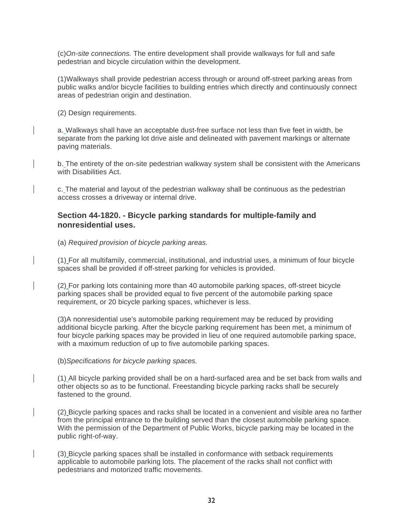(c)*On-site connections.* The entire development shall provide walkways for full and safe pedestrian and bicycle circulation within the development.

(1)Walkways shall provide pedestrian access through or around off-street parking areas from public walks and/or bicycle facilities to building entries which directly and continuously connect areas of pedestrian origin and destination.

(2) Design requirements.

a. Walkways shall have an acceptable dust-free surface not less than five feet in width, be separate from the parking lot drive aisle and delineated with pavement markings or alternate paving materials.

b. The entirety of the on-site pedestrian walkway system shall be consistent with the Americans with Disabilities Act.

c. The material and layout of the pedestrian walkway shall be continuous as the pedestrian access crosses a driveway or internal drive.

#### **Section 44-1820. - Bicycle parking standards for multiple-family and nonresidential uses.**

(a) *Required provision of bicycle parking areas.*

(1) For all multifamily, commercial, institutional, and industrial uses, a minimum of four bicycle spaces shall be provided if off-street parking for vehicles is provided.

(2) For parking lots containing more than 40 automobile parking spaces, off-street bicycle parking spaces shall be provided equal to five percent of the automobile parking space requirement, or 20 bicycle parking spaces, whichever is less.

(3)A nonresidential use's automobile parking requirement may be reduced by providing additional bicycle parking. After the bicycle parking requirement has been met, a minimum of four bicycle parking spaces may be provided in lieu of one required automobile parking space, with a maximum reduction of up to five automobile parking spaces.

(b)*Specifications for bicycle parking spaces.*

(1) All bicycle parking provided shall be on a hard-surfaced area and be set back from walls and other objects so as to be functional. Freestanding bicycle parking racks shall be securely fastened to the ground.

(2) Bicycle parking spaces and racks shall be located in a convenient and visible area no farther from the principal entrance to the building served than the closest automobile parking space. With the permission of the Department of Public Works, bicycle parking may be located in the public right-of-way.

(3) Bicycle parking spaces shall be installed in conformance with setback requirements applicable to automobile parking lots. The placement of the racks shall not conflict with pedestrians and motorized traffic movements.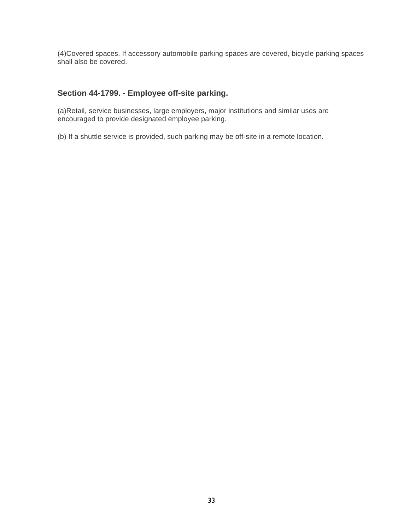(4)Covered spaces. If accessory automobile parking spaces are covered, bicycle parking spaces shall also be covered.

# **Section 44-1799. - Employee off-site parking.**

(a)Retail, service businesses, large employers, major institutions and similar uses are encouraged to provide designated employee parking.

(b) If a shuttle service is provided, such parking may be off-site in a remote location.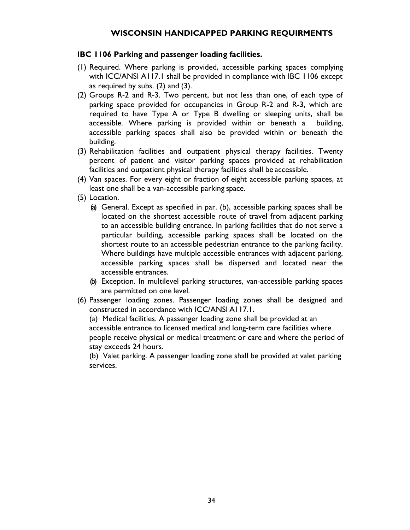## **WISCONSIN HANDICAPPED PARKING REQUIRMENTS**

#### **IBC 1106 Parking and passenger loading facilities.**

- (1) Required. Where parking is provided, accessible parking spaces complying with ICC/ANSI A117.1 shall be provided in compliance with IBC 1106 except as required by subs. (2) and (3).
- (2) Groups R-2 and R-3. Two percent, but not less than one, of each type of parking space provided for occupancies in Group R-2 and R-3, which are required to have Type A or Type B dwelling or sleeping units, shall be accessible. Where parking is provided within or beneath a building, accessible parking spaces shall also be provided within or beneath the building.
- (3) Rehabilitation facilities and outpatient physical therapy facilities. Twenty percent of patient and visitor parking spaces provided at rehabilitation facilities and outpatient physical therapy facilities shall be accessible.
- (4) Van spaces. For every eight or fraction of eight accessible parking spaces, at least one shall be a van-accessible parking space.
- (5) Location.
	- (a) General. Except as specified in par. (b), accessible parking spaces shall be located on the shortest accessible route of travel from adjacent parking to an accessible building entrance. In parking facilities that do not serve a particular building, accessible parking spaces shall be located on the shortest route to an accessible pedestrian entrance to the parking facility. Where buildings have multiple accessible entrances with adjacent parking, accessible parking spaces shall be dispersed and located near the accessible entrances.
	- (b) Exception. In multilevel parking structures, van-accessible parking spaces are permitted on one level.
- (6) Passenger loading zones. Passenger loading zones shall be designed and constructed in accordance with ICC/ANSI A117.1.

(a) Medical facilities. A passenger loading zone shall be provided at an accessible entrance to licensed medical and long-term care facilities where people receive physical or medical treatment or care and where the period of stay exceeds 24 hours.

(b) Valet parking. A passenger loading zone shall be provided at valet parking services.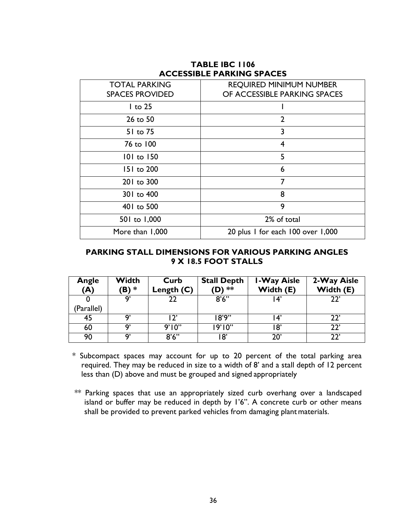| <b>TOTAL PARKING</b><br><b>SPACES PROVIDED</b> | <b>REQUIRED MINIMUM NUMBER</b><br>OF ACCESSIBLE PARKING SPACES |  |
|------------------------------------------------|----------------------------------------------------------------|--|
| $1$ to 25                                      |                                                                |  |
| 26 to 50                                       | $\overline{2}$                                                 |  |
| 51 to 75                                       | 3                                                              |  |
| 76 to 100                                      | 4                                                              |  |
| 101 to 150                                     | 5                                                              |  |
| 151 to 200                                     | 6                                                              |  |
| 201 to 300                                     | 7                                                              |  |
| 301 to 400                                     | 8                                                              |  |
| 401 to 500                                     | 9                                                              |  |
| 501 to 1,000                                   | 2% of total                                                    |  |
| More than 1,000                                | 20 plus I for each 100 over 1,000                              |  |

#### **TABLE IBC 1106 ACCESSIBLE PARKING SPACES**

# **PARKING STALL DIMENSIONS FOR VARIOUS PARKING ANGLES 9 X 18.5 FOOT STALLS**

| Angle<br>(A) | Width<br>(B) * | Curb<br>Length $(C)$ | <b>Stall Depth</b><br>(D) ** | <b>I-Way Aisle</b><br>Width (E) | 2-Way Aisle<br>Width (E) |
|--------------|----------------|----------------------|------------------------------|---------------------------------|--------------------------|
| (Parallel)   | q,             | 22                   | 8'6''                        | l 4'                            | າາ'                      |
| 45           | Q'             | ∣ ?'                 | 18'9''                       | $\mathbf{14}^{\prime}$          | つつ'                      |
| 60           | Q'             | 9'10''               | 19'10''                      | ۱8'                             | 77'                      |
| 90           | Q'             | 8'6''                | 18'                          | 20'                             | າາ'                      |

\* Subcompact spaces may account for up to 20 percent of the total parking area required. They may be reduced in size to a width of 8' and a stall depth of 12 percent less than (D) above and must be grouped and signed appropriately

\*\* Parking spaces that use an appropriately sized curb overhang over a landscaped island or buffer may be reduced in depth by 1'6". A concrete curb or other means shall be provided to prevent parked vehicles from damaging plant materials.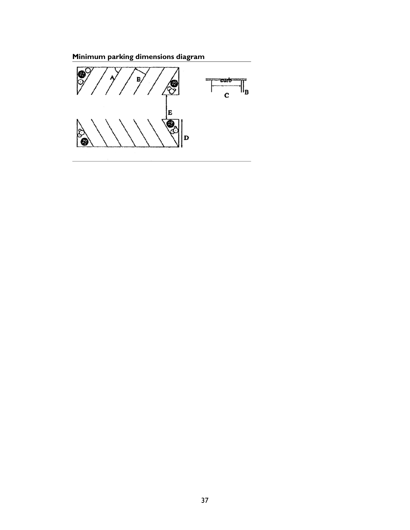**Minimum parking dimensions diagram**